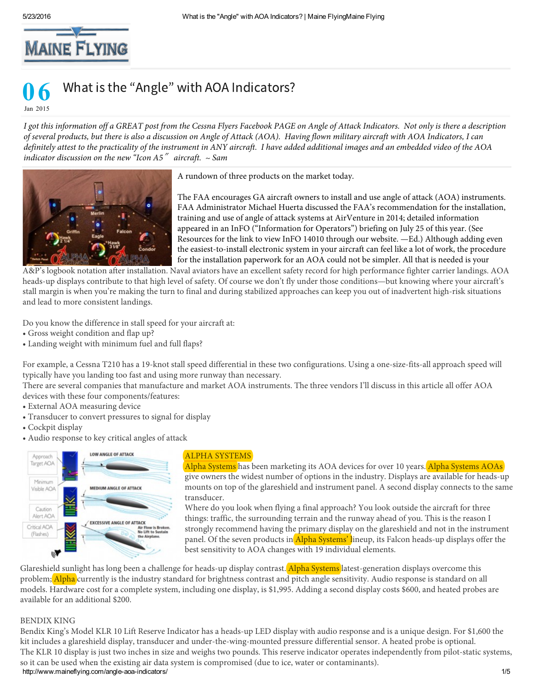

## 06

Jan 2015

*I got this information off a GREAT post from the Cessna Flyers Facebook PAGE on Angle of Attack Indicators. Not only is there a description of several products, but there is also a discussion on Angle of Attack (AOA). Having flown military aircraft with AOA Indicators, I can definitely attest to the practicality of the instrument in ANY aircraft. I have added additional images and an embedded video of the AOA indicator discussion on the new "Icon A5*″ *aircraft. ~ Sam*



A rundown of three products on the market today.

The FAA encourages GA aircraft owners to install and use angle of attack (AOA) instruments. FAA Administrator Michael Huerta discussed the FAA's recommendation for the installation, training and use of angle of attack systems at AirVenture in 2014; detailed information appeared in an InFO ("Information for Operators") briefing on July 25 of this year. (See Resources for the link to view InFO 14010 through our website. —Ed.) Although adding even the easiest-to-install electronic system in your aircraft can feel like a lot of work, the procedure for the installation paperwork for an AOA could not be simpler. All that is needed is your

A&P's logbook notation after installation. Naval aviators have an excellent safety record for high performance fighter carrier landings. AOA heads-up displays contribute to that high level of safety. Of course we don't fly under those conditions—but knowing where your aircraft's stall margin is when you're making the turn to final and during stabilized approaches can keep you out of inadvertent high-risk situations and lead to more consistent landings.

Do you know the difference in stall speed for your aircraft at:

- Gross weight condition and flap up?
- Landing weight with minimum fuel and full flaps?

For example, a Cessna T210 has a 19-knot stall speed differential in these two configurations. Using a one-size-fits-all approach speed will typically have you landing too fast and using more runway than necessary.

There are several companies that manufacture and market AOA instruments. The three vendors I'll discuss in this article all offer AOA devices with these four components/features:

- External AOA measuring device
- Transducer to convert pressures to signal for display
- Cockpit display
- Audio response to key critical angles of attack



## ALPHA SYSTEMS

Alpha Systems has been marketing its AOA devices for over 10 years. Alpha Systems AOAs give owners the widest number of options in the industry. Displays are available for heads-up mounts on top of the glareshield and instrument panel. A second display connects to the same transducer.

Where do you look when flying a final approach? You look outside the aircraft for three things: traffic, the surrounding terrain and the runway ahead of you. This is the reason I strongly recommend having the primary display on the glareshield and not in the instrument panel. Of the seven products in Alpha Systems' lineup, its Falcon heads-up displays offer the best sensitivity to AOA changes with 19 individual elements.

Glareshield sunlight has long been a challenge for heads-up display contrast. Alpha Systems latest-generation displays overcome this problem; Alpha currently is the industry standard for brightness contrast and pitch angle sensitivity. Audio response is standard on all models. Hardware cost for a complete system, including one display, is \$1,995. Adding a second display costs \$600, and heated probes are available for an additional \$200.

## BENDIX KING

http://www.maineflying.com/angle-aoa-indicators/ 1/5 rt can be used when the existing air data syste<br>p://www.maineflying.com/angle-aoa-indicators/ Bendix King's Model KLR 10 Lift Reserve Indicator has a heads-up LED display with audio response and is a unique design. For \$1,600 the kit includes a glareshield display, transducer and under-the-wing-mounted pressure differential sensor. A heated probe is optional. The KLR 10 display is just two inches in size and weighs two pounds. This reserve indicator operates independently from pilot-static systems, so it can be used when the existing air data system is compromised (due to ice, water or contaminants).